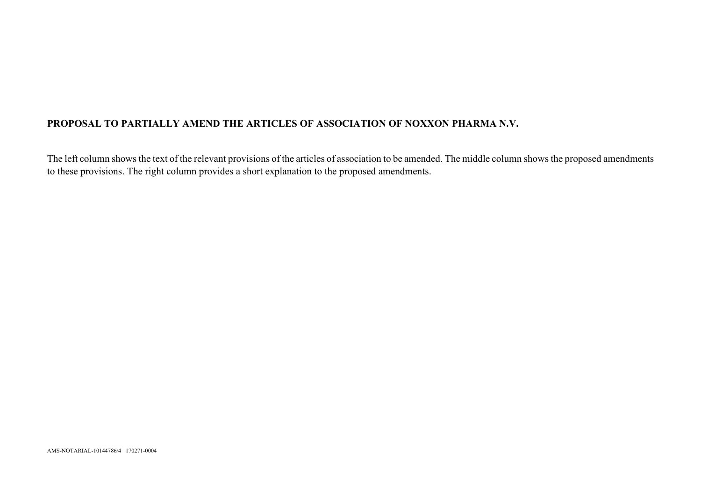## **PROPOSAL TO PARTIALLY AMEND THE ARTICLES OF ASSOCIATION OF NOXXON PHARMA N.V.**

The left column shows the text of the relevant provisions of the articles of association to be amended. The middle column shows the proposed amendments to these provisions. The right column provides a short explanation to the proposed amendments.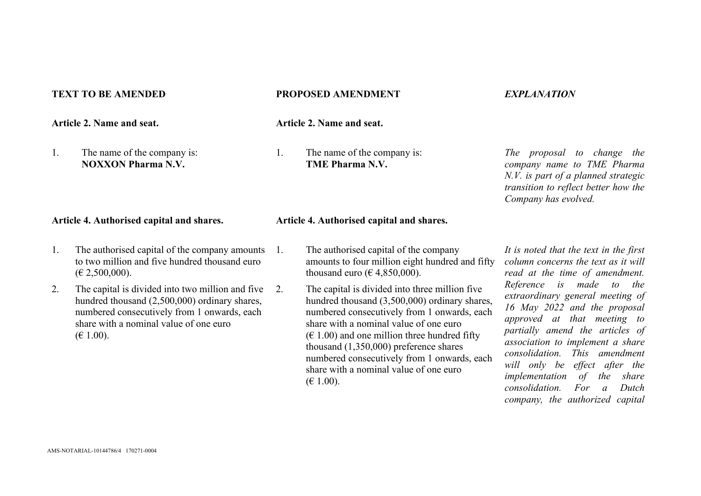**Article 2. Name and seat. Article 2. Name and seat.**

1. The name of the company is: **NOXXON Pharma N.V.**

### **TEXT TO BE AMENDED PROPOSED AMENDMENT** *EXPLANATION*

1. The name of the company is: **TME Pharma N.V.**

*The proposal to change the company name to TME Pharma N.V. is part of a planned strategic transition to reflect better how the Company has evolved.*

## **Article 4. Authorised capital and shares. Article 4. Authorised capital and shares.**

- 1. The authorised capital of the company amounts to two million and five hundred thousand euro  $(E 2,500,000)$ .
- 2. The capital is divided into two million and five hundred thousand (2,500,000) ordinary shares, numbered consecutively from 1 onwards, each share with a nominal value of one euro  $(E 1.00)$ .
- 1. The authorised capital of the company amounts to four million eight hundred and fifty thousand euro ( $\epsilon$  4,850,000).
- 2. The capital is divided into three million five hundred thousand (3,500,000) ordinary shares, numbered consecutively from 1 onwards, each share with a nominal value of one euro  $(\text{\ensuremath{\in}} 1.00)$  and one million three hundred fifty thousand (1,350,000) preference shares numbered consecutively from 1 onwards, each share with a nominal value of one euro  $(E 1.00)$ .

*It is noted that the text in the first column concerns the text as it will read at the time of amendment. Reference is made to the extraordinary general meeting of 16 May 2022 and the proposal approved at that meeting to partially amend the articles of association to implement a share consolidation. This amendment will only be effect after the implementation of the share consolidation. For a Dutch company, the authorized capital*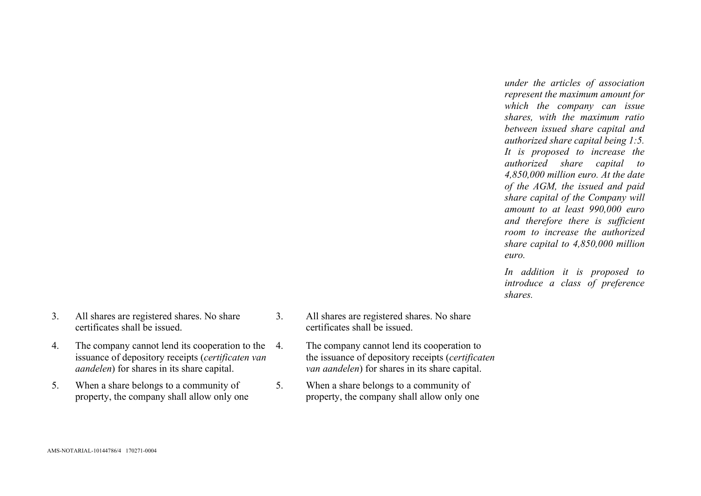*under the articles of association represent the maximum amount for which the company can issue shares, with the maximum ratio between issued share capital and authorized share capital being 1:5. It is proposed to increase the authorized share capital to 4,850,000 million euro. At the date of the AGM, the issued and paid share capital of the Company will amount to at least 990,000 euro and therefore there is sufficient room to increase the authorized share capital to 4,850,000 million euro.*

*In addition it is proposed to introduce a class of preference shares.* 

- 3. All shares are registered shares. No share certificates shall be issued.
- 4. The company cannot lend its cooperation to the 4. issuance of depository receipts (*certificaten van aandelen*) for shares in its share capital.
- 5. When a share belongs to a community of property, the company shall allow only one
- 3. All shares are registered shares. No share certificates shall be issued.
	- The company cannot lend its cooperation to the issuance of depository receipts (*certificaten van aandelen*) for shares in its share capital.
- 5. When a share belongs to a community of property, the company shall allow only one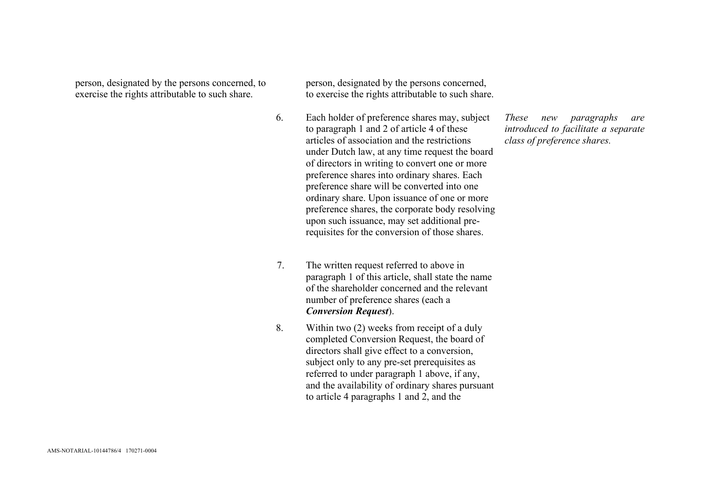person, designated by the persons concerned, to exercise the rights attributable to such share.

person, designated by the persons concerned, to exercise the rights attributable to such share.

- 6. Each holder of preference shares may, subject to paragraph 1 and 2 of article 4 of these articles of association and the restrictions under Dutch law, at any time request the board of directors in writing to convert one or more preference shares into ordinary shares. Each preference share will be converted into one ordinary share. Upon issuance of one or more preference shares, the corporate body resolving upon such issuance, may set additional prerequisites for the conversion of those shares.
- 7. The written request referred to above in paragraph 1 of this article, shall state the name of the shareholder concerned and the relevant number of preference shares (each a *Conversion Request*).
- 8. Within two (2) weeks from receipt of a duly completed Conversion Request, the board of directors shall give effect to a conversion, subject only to any pre-set prerequisites as referred to under paragraph 1 above, if any, and the availability of ordinary shares pursuant to article 4 paragraphs 1 and 2, and the

*These new paragraphs are introduced to facilitate a separate class of preference shares.*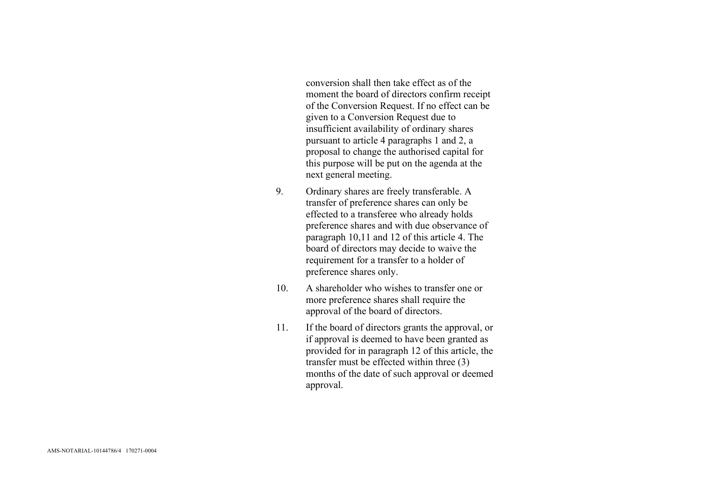conversion shall then take effect as of the moment the board of directors confirm receipt of the Conversion Request. If no effect can be given to a Conversion Request due to insufficient availability of ordinary shares pursuant to article 4 paragraphs 1 and 2, a proposal to change the authorised capital for this purpose will be put on the agenda at the next general meeting.

- 9. Ordinary shares are freely transferable. A transfer of preference shares can only be effected to a transferee who already holds preference shares and with due observance of paragraph 10,11 and 12 of this article 4. The board of directors may decide to waive the requirement for a transfer to a holder of preference shares only.
- 10. A shareholder who wishes to transfer one or more preference shares shall require the approval of the board of directors.
- 11. If the board of directors grants the approval, or if approval is deemed to have been granted as provided for in paragraph 12 of this article, the transfer must be effected within three (3) months of the date of such approval or deemed approval.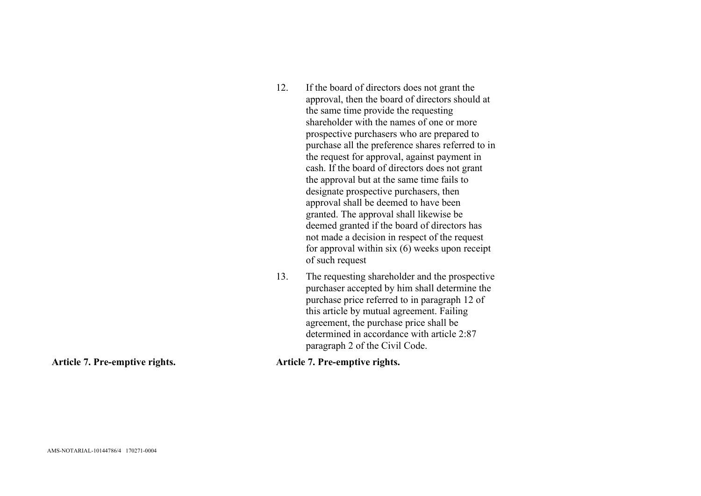| 12. | If the board of directors does not grant the<br>approval, then the board of directors should at<br>the same time provide the requesting                                                                                                                                                                                                                                                                                                                                                                                                                                                           |
|-----|---------------------------------------------------------------------------------------------------------------------------------------------------------------------------------------------------------------------------------------------------------------------------------------------------------------------------------------------------------------------------------------------------------------------------------------------------------------------------------------------------------------------------------------------------------------------------------------------------|
|     | shareholder with the names of one or more<br>prospective purchasers who are prepared to<br>purchase all the preference shares referred to in<br>the request for approval, against payment in<br>cash. If the board of directors does not grant<br>the approval but at the same time fails to<br>designate prospective purchasers, then<br>approval shall be deemed to have been<br>granted. The approval shall likewise be<br>deemed granted if the board of directors has<br>not made a decision in respect of the request<br>for approval within $six(6)$ weeks upon receipt<br>of such request |
| 13. | The requesting shareholder and the prospective<br>$1$ 1 1 1 1 $1$ 1 1 1 $1$ $1$                                                                                                                                                                                                                                                                                                                                                                                                                                                                                                                   |

purchaser accepted by him shall determine the purchase price referred to in paragraph 12 of this article by mutual agreement. Failing agreement, the purchase price shall be determined in accordance with article 2:87 paragraph 2 of the Civil Code.

**Article 7. Pre-emptive rights. Article 7. Pre-emptive rights.**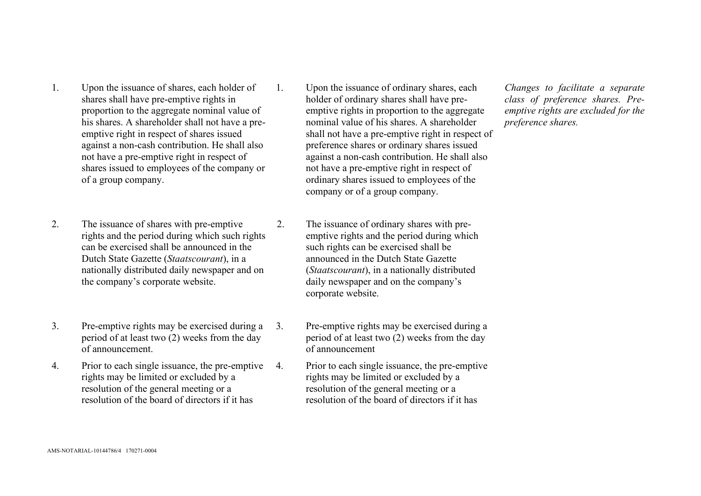- 1. Upon the issuance of shares, each holder of shares shall have pre-emptive rights in proportion to the aggregate nominal value of his shares. A shareholder shall not have a preemptive right in respect of shares issued against a non-cash contribution. He shall also not have a pre-emptive right in respect of shares issued to employees of the company or of a group company.
- 2. The issuance of shares with pre-emptive rights and the period during which such rights can be exercised shall be announced in the Dutch State Gazette (*Staatscourant*), in a nationally distributed daily newspaper and on the company's corporate website.
- 3. Pre-emptive rights may be exercised during a period of at least two (2) weeks from the day of announcement.
- 4. Prior to each single issuance, the pre-emptive rights may be limited or excluded by a resolution of the general meeting or a resolution of the board of directors if it has
- 1. Upon the issuance of ordinary shares, each holder of ordinary shares shall have preemptive rights in proportion to the aggregate nominal value of his shares. A shareholder shall not have a pre-emptive right in respect of preference shares or ordinary shares issued against a non-cash contribution. He shall also not have a pre-emptive right in respect of ordinary shares issued to employees of the company or of a group company.
- 2. The issuance of ordinary shares with preemptive rights and the period during which such rights can be exercised shall be announced in the Dutch State Gazette (*Staatscourant*), in a nationally distributed daily newspaper and on the company's corporate website.
- 3. Pre-emptive rights may be exercised during a period of at least two (2) weeks from the day of announcement
- 4. Prior to each single issuance, the pre-emptive rights may be limited or excluded by a resolution of the general meeting or a resolution of the board of directors if it has

*Changes to facilitate a separate class of preference shares. Preemptive rights are excluded for the preference shares.*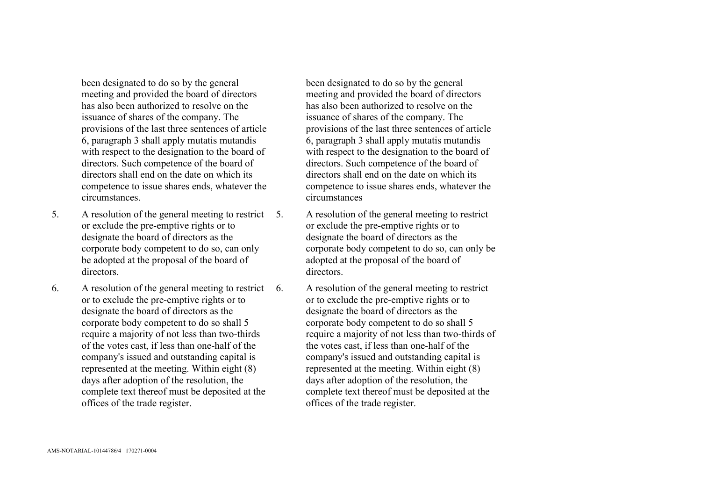been designated to do so by the general meeting and provided the board of directors has also been authorized to resolve on the issuance of shares of the company. The provisions of the last three sentences of article 6, paragraph 3 shall apply mutatis mutandis with respect to the designation to the board of directors. Such competence of the board of directors shall end on the date on which its competence to issue shares ends, whatever the circumstances.

- 5. A resolution of the general meeting to restrict or exclude the pre-emptive rights or to designate the board of directors as the corporate body competent to do so, can only be adopted at the proposal of the board of directors.
- 6. A resolution of the general meeting to restrict or to exclude the pre-emptive rights or to designate the board of directors as the corporate body competent to do so shall 5 require a majority of not less than two-thirds of the votes cast, if less than one-half of the company's issued and outstanding capital is represented at the meeting. Within eight (8) days after adoption of the resolution, the complete text thereof must be deposited at the offices of the trade register.

been designated to do so by the general meeting and provided the board of directors has also been authorized to resolve on the issuance of shares of the company. The provisions of the last three sentences of article 6, paragraph 3 shall apply mutatis mutandis with respect to the designation to the board of directors. Such competence of the board of directors shall end on the date on which its competence to issue shares ends, whatever the circumstances

- 5. A resolution of the general meeting to restrict or exclude the pre-emptive rights or to designate the board of directors as the corporate body competent to do so, can only be adopted at the proposal of the board of directors.
- 6. A resolution of the general meeting to restrict or to exclude the pre-emptive rights or to designate the board of directors as the corporate body competent to do so shall 5 require a majority of not less than two-thirds of the votes cast, if less than one-half of the company's issued and outstanding capital is represented at the meeting. Within eight (8) days after adoption of the resolution, the complete text thereof must be deposited at the offices of the trade register.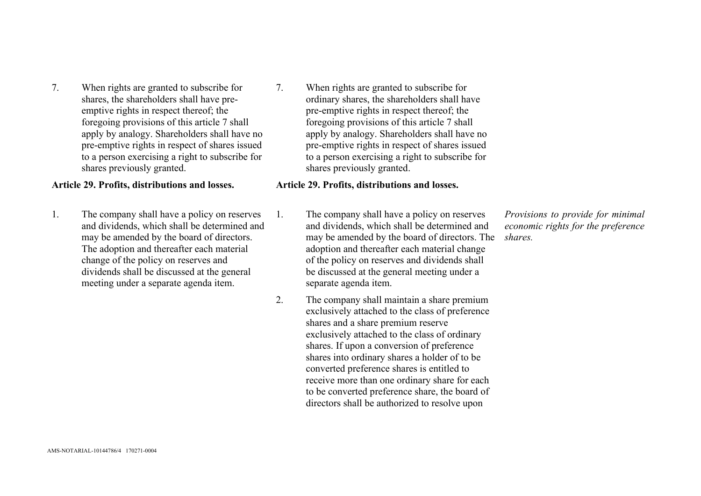7. When rights are granted to subscribe for shares, the shareholders shall have preemptive rights in respect thereof; the foregoing provisions of this article 7 shall apply by analogy. Shareholders shall have no pre-emptive rights in respect of shares issued to a person exercising a right to subscribe for shares previously granted.

## **Article 29. Profits, distributions and losses. Article 29. Profits, distributions and losses.**

- 1. The company shall have a policy on reserves and dividends, which shall be determined and may be amended by the board of directors. The adoption and thereafter each material change of the policy on reserves and dividends shall be discussed at the general meeting under a separate agenda item.
- 7. When rights are granted to subscribe for ordinary shares, the shareholders shall have pre-emptive rights in respect thereof; the foregoing provisions of this article 7 shall apply by analogy. Shareholders shall have no pre-emptive rights in respect of shares issued to a person exercising a right to subscribe for shares previously granted.

- 1. The company shall have a policy on reserves and dividends, which shall be determined and may be amended by the board of directors. The adoption and thereafter each material change of the policy on reserves and dividends shall be discussed at the general meeting under a separate agenda item.
- 2. The company shall maintain a share premium exclusively attached to the class of preference shares and a share premium reserve exclusively attached to the class of ordinary shares. If upon a conversion of preference shares into ordinary shares a holder of to be converted preference shares is entitled to receive more than one ordinary share for each to be converted preference share, the board of directors shall be authorized to resolve upon

*Provisions to provide for minimal economic rights for the preference shares.*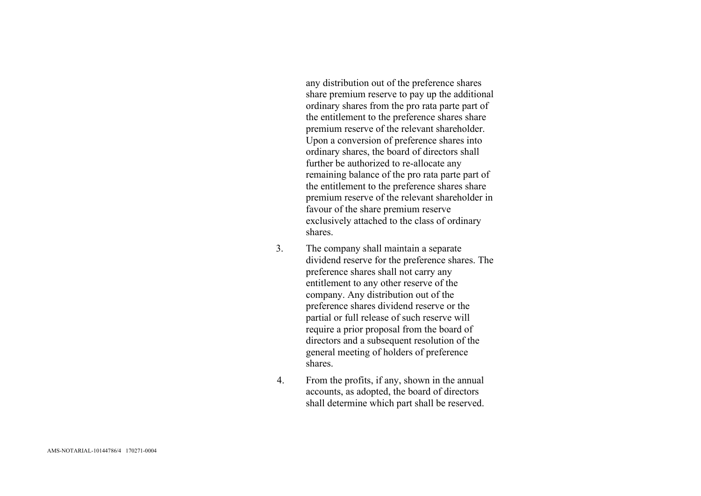any distribution out of the preference shares share premium reserve to pay up the additional ordinary shares from the pro rata parte part of the entitlement to the preference shares share premium reserve of the relevant shareholder. Upon a conversion of preference shares into ordinary shares, the board of directors shall further be authorized to re -allocate any remaining balance of the pro rata parte part of the entitlement to the preference shares share premium reserve of the relevant shareholder in favour of the share premium reserve exclusively attached to the class of ordinary shares .

- 3. The company shall maintain a separate dividend reserve for the preference shares. The preference shares shall not carry any entitlement to any other reserve of the company. Any distribution out of the preference shares dividend reserve or the partial or full release of such reserve will require a prior proposal from the board of directors and a subsequent resolution of the general meeting of holders of preference shares.
- 4. From the profits, if any, shown in the annual accounts, as adopted, the board of directors shall determine which part shall be reserved.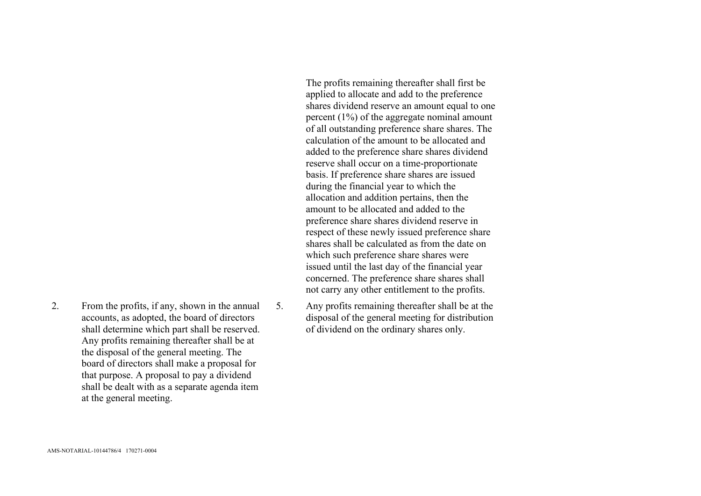The profits remaining thereafter shall first be applied to allocate and add to the preference shares dividend reserve an amount equal to one percent (1%) of the aggregate nominal amount of all outstanding preference share shares. The calculation of the amount to be allocated and added to the preference share shares dividend reserve shall occur on a time-proportionate basis. If preference share shares are issued during the financial year to which the allocation and addition pertains, then the amount to be allocated and added to the preference share shares dividend reserve in respect of these newly issued preference share shares shall be calculated as from the date on which such preference share shares were issued until the last day of the financial year concerned. The preference share shares shall not carry any other entitlement to the profits.

5. Any profits remaining thereafter shall be at the disposal of the general meeting for distribution of dividend on the ordinary shares only.

2. From the profits, if any, shown in the annual accounts, as adopted, the board of directors shall determine which part shall be reserved. Any profits remaining thereafter shall be at the disposal of the general meeting. The board of directors shall make a proposal for that purpose. A proposal to pay a dividend shall be dealt with as a separate agenda item at the general meeting.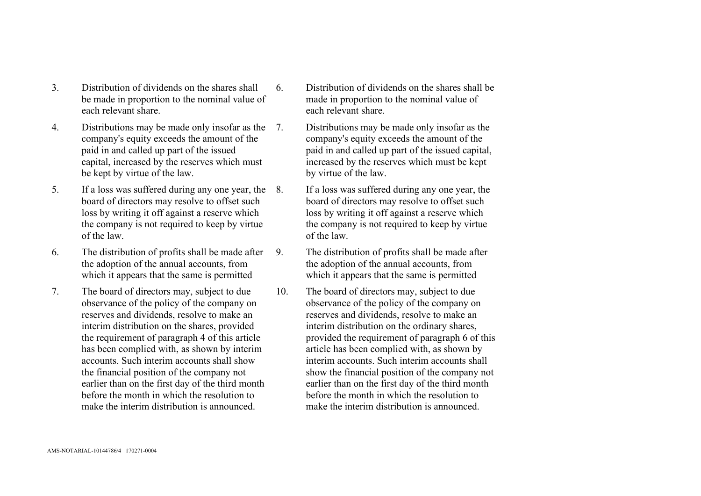- 3. Distribution of dividends on the shares shall be made in proportion to the nominal value of each relevant share.
- 4. Distributions may be made only insofar as the 7. company's equity exceeds the amount of the paid in and called up part of the issued capital, increased by the reserves which must be kept by virtue of the law.
- 5. If a loss was suffered during any one year, the board of directors may resolve to offset such loss by writing it off against a reserve which the company is not required to keep by virtue of the law.
- 6. The distribution of profits shall be made after the adoption of the annual accounts, from which it appears that the same is permitted
- 7. The board of directors may, subject to due observance of the policy of the company on reserves and dividends, resolve to make an interim distribution on the shares, provided the requirement of paragraph 4 of this article has been complied with, as shown by interim accounts. Such interim accounts shall show the financial position of the company not earlier than on the first day of the third month before the month in which the resolution to make the interim distribution is announced.
- 6. Distribution of dividends on the shares shall be made in proportion to the nominal value of each relevant share.
	- Distributions may be made only insofar as the company's equity exceeds the amount of the paid in and called up part of the issued capital, increased by the reserves which must be kept by virtue of the law.
	- If a loss was suffered during any one year, the board of directors may resolve to offset such loss by writing it off against a reserve which the company is not required to keep by virtue of the law.
- 9. The distribution of profits shall be made after the adoption of the annual accounts, from which it appears that the same is permitted
- 10. The board of directors may, subject to due observance of the policy of the company on reserves and dividends, resolve to make an interim distribution on the ordinary shares, provided the requirement of paragraph 6 of this article has been complied with, as shown by interim accounts. Such interim accounts shall show the financial position of the company not earlier than on the first day of the third month before the month in which the resolution to make the interim distribution is announced.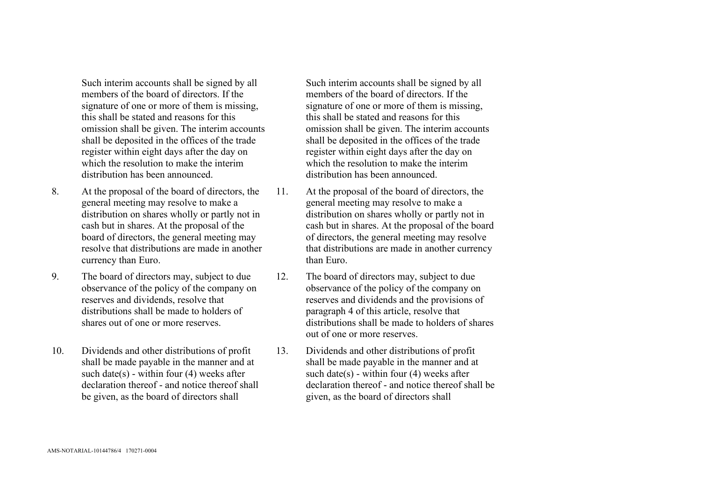Such interim accounts shall be signed by all members of the board of directors. If the signature of one or more of them is missing, this shall be stated and reasons for this omission shall be given. The interim accounts shall be deposited in the offices of the trade register within eight days after the day on which the resolution to make the interim distribution has been announced.

- 8. At the proposal of the board of directors, the general meeting may resolve to make a distribution on shares wholly or partly not in cash but in shares. At the proposal of the board of directors, the general meeting may resolve that distributions are made in another currency than Euro.
- 9. The board of directors may, subject to due observance of the policy of the company on reserves and dividends, resolve that distributions shall be made to holders of shares out of one or more reserves.
- 10. Dividends and other distributions of profit shall be made payable in the manner and at such date(s) - within four  $(4)$  weeks after declaration thereof - and notice thereof shall be given, as the board of directors shall

Such interim accounts shall be signed by all members of the board of directors. If the signature of one or more of them is missing, this shall be stated and reasons for this omission shall be given. The interim accounts shall be deposited in the offices of the trade register within eight days after the day on which the resolution to make the interim distribution has been announced.

- 11. At the proposal of the board of directors, the general meeting may resolve to make a distribution on shares wholly or partly not in cash but in shares. At the proposal of the board of directors, the general meeting may resolve that distributions are made in another currency than Euro.
- 12. The board of directors may, subject to due observance of the policy of the company on reserves and dividends and the provisions of paragraph 4 of this article, resolve that distributions shall be made to holders of shares out of one or more reserves.
- 13. Dividends and other distributions of profit shall be made payable in the manner and at such date(s) - within four  $(4)$  weeks after declaration thereof - and notice thereof shall be given, as the board of directors shall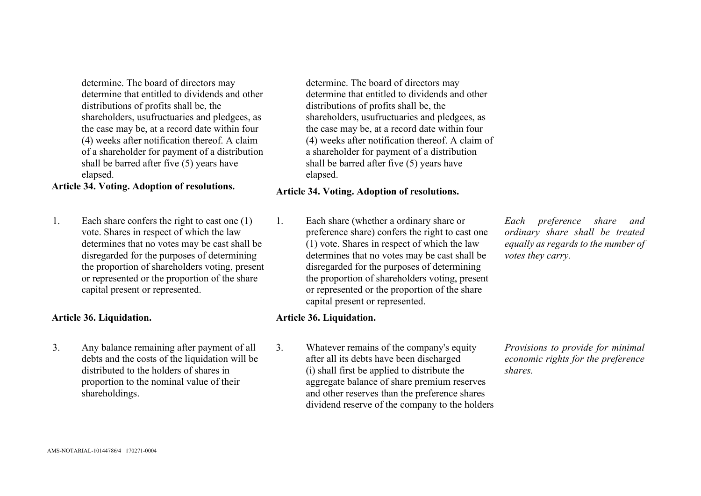determine. The board of directors may determine that entitled to dividends and other distributions of profits shall be, the shareholders, usufructuaries and pledgees, as the case may be, at a record date within four (4) weeks after notification thereof. A claim of a shareholder for payment of a distribution shall be barred after five (5) years have elapsed.

# **Article 34. Voting. Adoption of resolutions. Article 34. Voting. Adoption of resolutions.**

1. Each share confers the right to cast one (1) vote. Shares in respect of which the law determines that no votes may be cast shall be disregarded for the purposes of determining the proportion of shareholders voting, present or represented or the proportion of the share capital present or represented.

## **Article 36. Liquidation. Article 36. Liquidation.**

3. Any balance remaining after payment of all debts and the costs of the liquidation will be distributed to the holders of shares in proportion to the nominal value of their shareholdings.

determine. The board of directors may determine that entitled to dividends and other distributions of profits shall be, the shareholders, usufructuaries and pledgees, as the case may be, at a record date within four (4) weeks after notification thereof. A claim of a shareholder for payment of a distribution shall be barred after five (5) years have elapsed.

1. Each share (whether a ordinary share or preference share) confers the right to cast one (1) vote. Shares in respect of which the law determines that no votes may be cast shall be disregarded for the purposes of determining the proportion of shareholders voting, present or represented or the proportion of the share capital present or represented.

3. Whatever remains of the company's equity after all its debts have been discharged (i) shall first be applied to distribute the aggregate balance of share premium reserves and other reserves than the preference shares dividend reserve of the company to the holders

*Each preference share and ordinary share shall be treated equally as regards to the number of votes they carry.* 

*Provisions to provide for minimal economic rights for the preference shares.*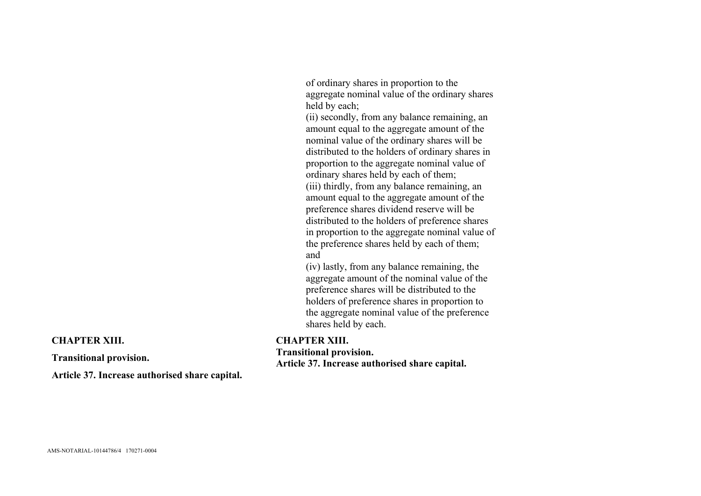of ordinary shares in proportion to the aggregate nominal value of the ordinary shares held by each;

(ii) secondly, from any balance remaining, an amount equal to the aggregate amount of the nominal value of the ordinary shares will be distributed to the holders of ordinary shares in proportion to the aggregate nominal value of ordinary shares held by each of them; (iii) thirdly, from any balance remaining, an amount equal to the aggregate amount of the preference shares dividend reserve will be distributed to the holders of preference shares in proportion to the aggregate nominal value of the preference shares held by each of them; and

(iv) lastly, from any balance remaining, the aggregate amount of the nominal value of the preference shares will be distributed to the holders of preference shares in proportion to the aggregate nominal value of the preference shares held by each.

## **CHAPTER XIII.**

**Transitional provision. Article 37. Increase authorised share capital.** 

**CHAPTER XIII.** 

**Transitional provision.** 

**Article 37. Increase authorised share capital.**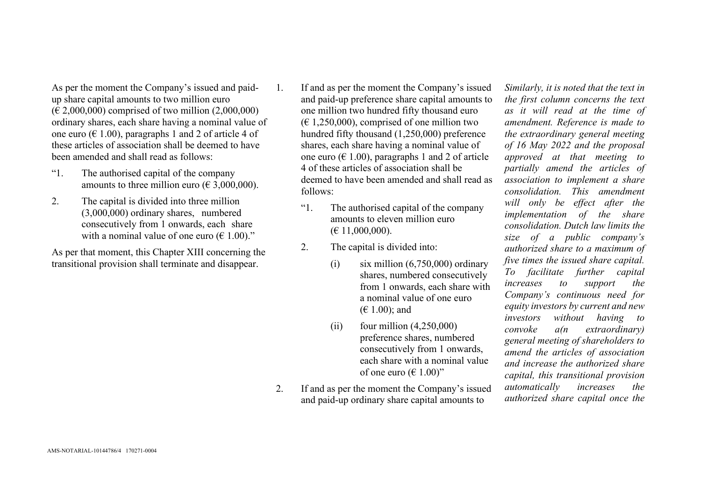As per the moment the Company's issued and paidup share capital amounts to two million euro  $(E 2,000,000)$  comprised of two million  $(2,000,000)$ ordinary shares, each share having a nominal value of one euro ( $\in$  1.00), paragraphs 1 and 2 of article 4 of these articles of association shall be deemed to have been amended and shall read as follows:

- "1. The authorised capital of the company amounts to three million euro ( $\epsilon$  3,000,000).
- 2. The capital is divided into three million (3,000,000) ordinary shares, numbered consecutively from 1 onwards, each share with a nominal value of one euro ( $\epsilon$  1.00)."

As per that moment, this Chapter XIII concerning the transitional provision shall terminate and disappear.

- 1. If and as per the moment the Company's issued and paid-up preference share capital amounts to one million two hundred fifty thousand euro  $(E 1, 250, 000)$ , comprised of one million two hundred fifty thousand (1,250,000) preference shares, each share having a nominal value of one euro ( $\in$  1.00), paragraphs 1 and 2 of article 4 of these articles of association shall be deemed to have been amended and shall read as follows:
	- "1. The authorised capital of the company amounts to eleven million euro  $(E 11,000,000)$ .
	- 2. The capital is divided into:
		- (i) six million  $(6,750,000)$  ordinary shares, numbered consecutively from 1 onwards, each share with a nominal value of one euro  $(E 1.00)$ ; and
		- $(iii)$  four million  $(4.250,000)$ preference shares, numbered consecutively from 1 onwards, each share with a nominal value of one euro ( $\in$  1.00)"
- 2. If and as per the moment the Company's issued and paid-up ordinary share capital amounts to

*Similarly, it is noted that the text in the first column concerns the text as it will read at the time of amendment. Reference is made to the extraordinary general meeting of 16 May 2022 and the proposal approved at that meeting to partially amend the articles of association to implement a share consolidation. This amendment will only be effect after the implementation of the share consolidation. Dutch law limits the size of a public company's authorized share to a maximum of five times the issued share capital. To facilitate further capital increases to support the Company's continuous need for equity investors by current and new investors without having to convoke a(n extraordinary) general meeting of shareholders to amend the articles of association and increase the authorized share capital, this transitional provision automatically increases the authorized share capital once the*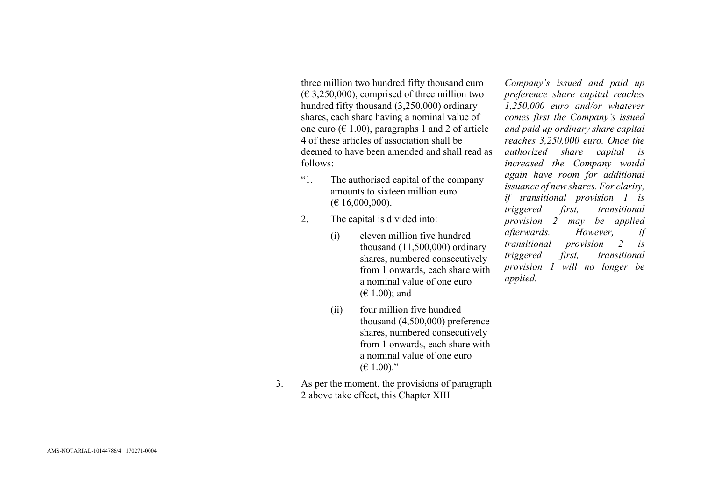three million two hundred fifty thousand euro  $(\text{\textsterling } 3,250,000)$ , comprised of three million two hundred fifty thousand (3,250,000) ordinary shares, each share having a nominal value of one euro ( $\in$  1.00), paragraphs 1 and 2 of article 4 of these articles of association shall be deemed to have been amended and shall read as follows:

- "1. The authorised capital of the company amounts to sixteen million euro  $(E 16,000,000)$ .
- 2. The capital is divided into:
	- (i) eleven million five hundred thousand (11,500,000) ordinary shares, numbered consecutively from 1 onwards, each share with a nominal value of one euro  $(E 1.00)$ ; and
	- (ii) four million five hundred thousand (4,500,000) preference shares, numbered consecutively from 1 onwards, each share with a nominal value of one euro  $(E 1.00)$ ."
- 3. As per the moment, the provisions of paragraph 2 above take effect, this Chapter XIII

*Company's issued and paid up preference share capital reaches 1,250,000 euro and/or whatever comes first the Company's issued and paid up ordinary share capital reaches 3,250,000 euro. Once the authorized share capital is increased the Company would again have room for additional issuance of new shares. For clarity, if transitional provision 1 is triggered first, transitional provision 2 may be applied afterwards. However, if transitional provision 2 is triggered first, transitional provision 1 will no longer be applied.*